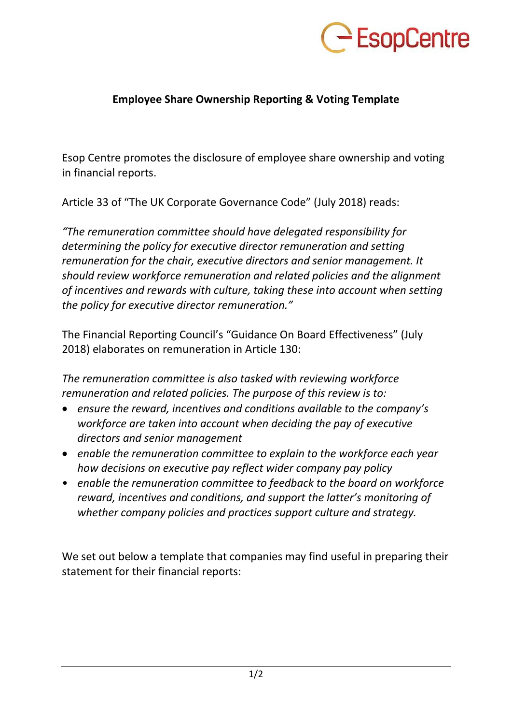

## **Employee Share Ownership Reporting & Voting Template**

Esop Centre promotes the disclosure of employee share ownership and voting in financial reports.

Article 33 of "The UK Corporate Governance Code" (July 2018) reads:

*"The remuneration committee should have delegated responsibility for determining the policy for executive director remuneration and setting remuneration for the chair, executive directors and senior management. It should review workforce remuneration and related policies and the alignment of incentives and rewards with culture, taking these into account when setting the policy for executive director remuneration."* 

The Financial Reporting Council's "Guidance On Board Effectiveness" (July 2018) elaborates on remuneration in Article 130:

*The remuneration committee is also tasked with reviewing workforce remuneration and related policies. The purpose of this review is to:* 

- *ensure the reward, incentives and conditions available to the company's workforce are taken into account when deciding the pay of executive directors and senior management*
- *enable the remuneration committee to explain to the workforce each year how decisions on executive pay reflect wider company pay policy*
- *enable the remuneration committee to feedback to the board on workforce reward, incentives and conditions, and support the latter's monitoring of whether company policies and practices support culture and strategy.*

We set out below a template that companies may find useful in preparing their statement for their financial reports: